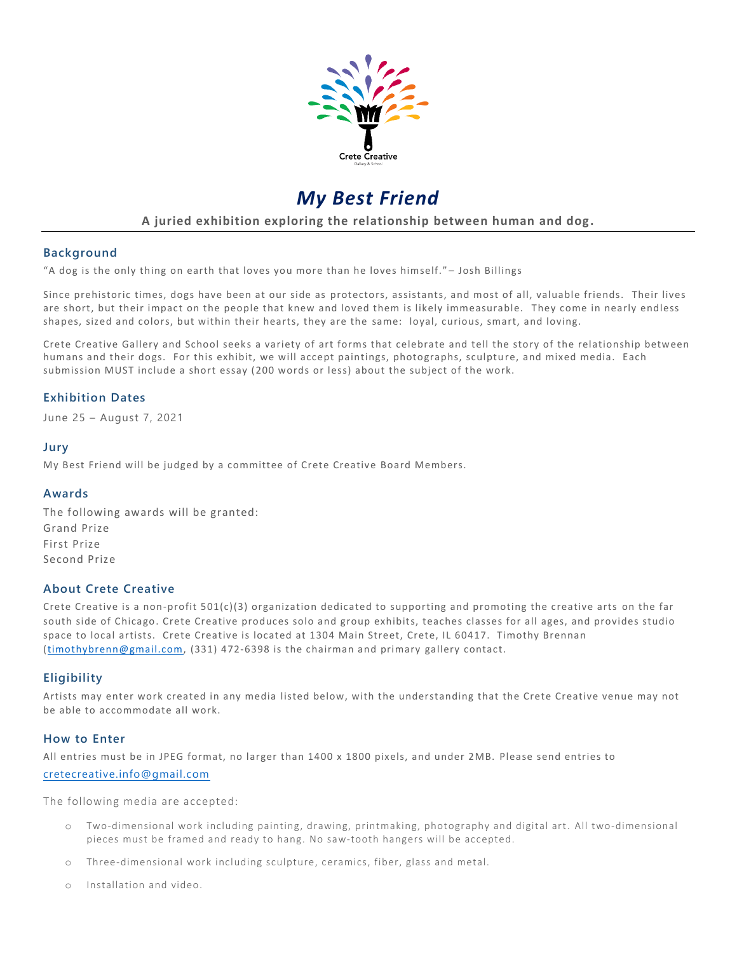

# *My Best Friend*

**A juried exhibition exploring the relationship between human and dog.**

# **Background**

"A dog is the only thing on earth that loves you more than he loves himself." – Josh Billings

Since prehistoric times, dogs have been at our side as protectors, assistants, and most of all, valuable friends. Their lives are short, but their impact on the people that knew and loved them is likely immeasurable. They come in nearly endless shapes, sized and colors, but within their hearts, they are the same: loyal, curious, smart, and loving.

Crete Creative Gallery and School seeks a variety of art forms that celebrate and tell the story of the relationship between humans and their dogs. For this exhibit, we will accept paintings, photographs, sculpture, and mixed media. Each submission MUST include a short essay (200 words or less) about the subject of the work.

# **Exhibition Dates**

June 25 – August 7, 2021

#### **Jury**

My Best Friend will be judged by a committee of Crete Creative Board Members.

#### **Awards**

The following awards will be granted: Grand Prize First Prize Second Prize

#### **About Crete Creative**

Crete Creative is a non-profit 501(c)(3) organization dedicated to supporting and promoting the creative arts on the far south side of Chicago. Crete Creative produces solo and group exhibits, teaches classes for all ages, and provides studio space to local artists. Crete Creative is located at 1304 Main Street, Crete, IL 60417. Timothy Brennan [\(timothybrenn@gmail.com,](mailto:timothybrenn@gmail.com) (331) 472-6398 is the chairman and primary gallery contact.

# **Eligibility**

Artists may enter work created in any media listed below, with the understanding that the Crete Creative venue may not be able to accommodate all work.

#### **How to Enter**

All entries must be in JPEG format, no larger than 1400 x 1800 pixels, and under 2MB. Please send entries to

#### [cretecreative.info@gmail.com](mailto:cretecreative.info@gmail.com)

The following media are accepted:

- o Two-dimensional work including painting, drawing, printmaking, photography and digital art. All two-dimensional pieces must be framed and ready to hang. No saw-tooth hangers will be accepted.
- o Three-dimensional work including sculpture, ceramics, fiber, glass and metal.
- Installation and video.